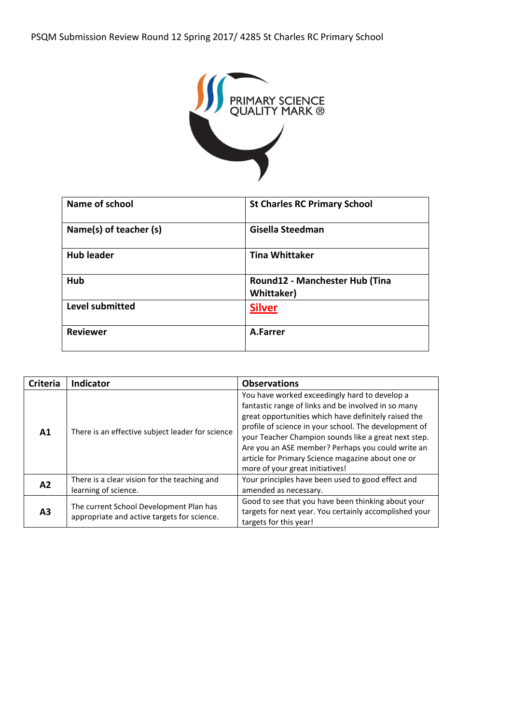

| Name of school         | <b>St Charles RC Primary School</b>          |
|------------------------|----------------------------------------------|
| Name(s) of teacher (s) | Gisella Steedman                             |
| <b>Hub leader</b>      | <b>Tina Whittaker</b>                        |
| Hub                    | Round12 - Manchester Hub (Tina<br>Whittaker) |
| Level submitted        | <b>Silver</b>                                |
| <b>Reviewer</b>        | A.Farrer                                     |

| <b>Criteria</b> | <b>Indicator</b>                                                                       | <b>Observations</b>                                                                                                                                                                                                                                                                                                                                                                                                        |
|-----------------|----------------------------------------------------------------------------------------|----------------------------------------------------------------------------------------------------------------------------------------------------------------------------------------------------------------------------------------------------------------------------------------------------------------------------------------------------------------------------------------------------------------------------|
| A1              | There is an effective subject leader for science                                       | You have worked exceedingly hard to develop a<br>fantastic range of links and be involved in so many<br>great opportunities which have definitely raised the<br>profile of science in your school. The development of<br>your Teacher Champion sounds like a great next step.<br>Are you an ASE member? Perhaps you could write an<br>article for Primary Science magazine about one or<br>more of your great initiatives! |
| A2              | There is a clear vision for the teaching and<br>learning of science.                   | Your principles have been used to good effect and<br>amended as necessary.                                                                                                                                                                                                                                                                                                                                                 |
| A <sub>3</sub>  | The current School Development Plan has<br>appropriate and active targets for science. | Good to see that you have been thinking about your<br>targets for next year. You certainly accomplished your<br>targets for this year!                                                                                                                                                                                                                                                                                     |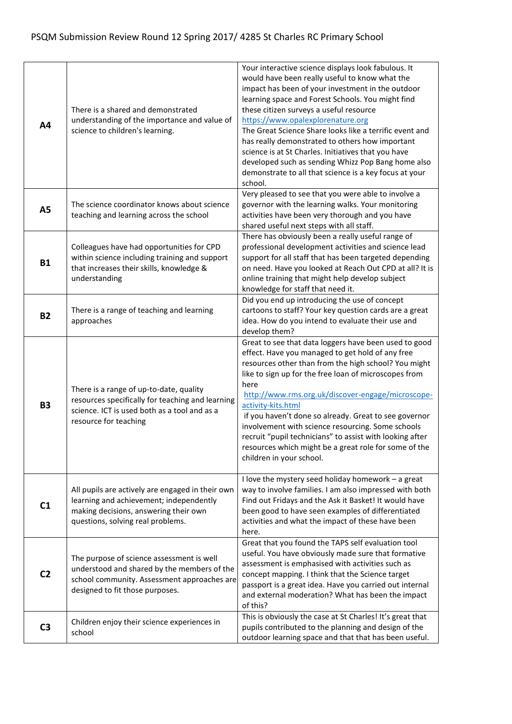| A4             | There is a shared and demonstrated<br>understanding of the importance and value of<br>science to children's learning.                                                      | Your interactive science displays look fabulous. It<br>would have been really useful to know what the<br>impact has been of your investment in the outdoor<br>learning space and Forest Schools. You might find<br>these citizen surveys a useful resource<br>https://www.opalexplorenature.org<br>The Great Science Share looks like a terrific event and<br>has really demonstrated to others how important<br>science is at St Charles. Initiatives that you have<br>developed such as sending Whizz Pop Bang home also<br>demonstrate to all that science is a key focus at your<br>school. |
|----------------|----------------------------------------------------------------------------------------------------------------------------------------------------------------------------|-------------------------------------------------------------------------------------------------------------------------------------------------------------------------------------------------------------------------------------------------------------------------------------------------------------------------------------------------------------------------------------------------------------------------------------------------------------------------------------------------------------------------------------------------------------------------------------------------|
| A5             | The science coordinator knows about science<br>teaching and learning across the school                                                                                     | Very pleased to see that you were able to involve a<br>governor with the learning walks. Your monitoring<br>activities have been very thorough and you have<br>shared useful next steps with all staff.                                                                                                                                                                                                                                                                                                                                                                                         |
| <b>B1</b>      | Colleagues have had opportunities for CPD<br>within science including training and support<br>that increases their skills, knowledge &<br>understanding                    | There has obviously been a really useful range of<br>professional development activities and science lead<br>support for all staff that has been targeted depending<br>on need. Have you looked at Reach Out CPD at all? It is<br>online training that might help develop subject<br>knowledge for staff that need it.                                                                                                                                                                                                                                                                          |
| <b>B2</b>      | There is a range of teaching and learning<br>approaches                                                                                                                    | Did you end up introducing the use of concept<br>cartoons to staff? Your key question cards are a great<br>idea. How do you intend to evaluate their use and<br>develop them?                                                                                                                                                                                                                                                                                                                                                                                                                   |
| <b>B3</b>      | There is a range of up-to-date, quality<br>resources specifically for teaching and learning<br>science. ICT is used both as a tool and as a<br>resource for teaching       | Great to see that data loggers have been used to good<br>effect. Have you managed to get hold of any free<br>resources other than from the high school? You might<br>like to sign up for the free loan of microscopes from<br>here<br>http://www.rms.org.uk/discover-engage/microscope-<br>activity-kits.html<br>if you haven't done so already. Great to see governor<br>involvement with science resourcing. Some schools<br>recruit "pupil technicians" to assist with looking after<br>resources which might be a great role for some of the<br>children in your school.                    |
| C <sub>1</sub> | All pupils are actively are engaged in their own<br>learning and achievement; independently<br>making decisions, answering their own<br>questions, solving real problems.  | I love the mystery seed holiday homework - a great<br>way to involve families. I am also impressed with both<br>Find out Fridays and the Ask it Basket! It would have<br>been good to have seen examples of differentiated<br>activities and what the impact of these have been<br>here.                                                                                                                                                                                                                                                                                                        |
| C <sub>2</sub> | The purpose of science assessment is well<br>understood and shared by the members of the<br>school community. Assessment approaches are<br>designed to fit those purposes. | Great that you found the TAPS self evaluation tool<br>useful. You have obviously made sure that formative<br>assessment is emphasised with activities such as<br>concept mapping. I think that the Science target<br>passport is a great idea. Have you carried out internal<br>and external moderation? What has been the impact<br>of this?                                                                                                                                                                                                                                                   |
| C <sub>3</sub> | Children enjoy their science experiences in<br>school                                                                                                                      | This is obviously the case at St Charles! It's great that<br>pupils contributed to the planning and design of the<br>outdoor learning space and that that has been useful.                                                                                                                                                                                                                                                                                                                                                                                                                      |